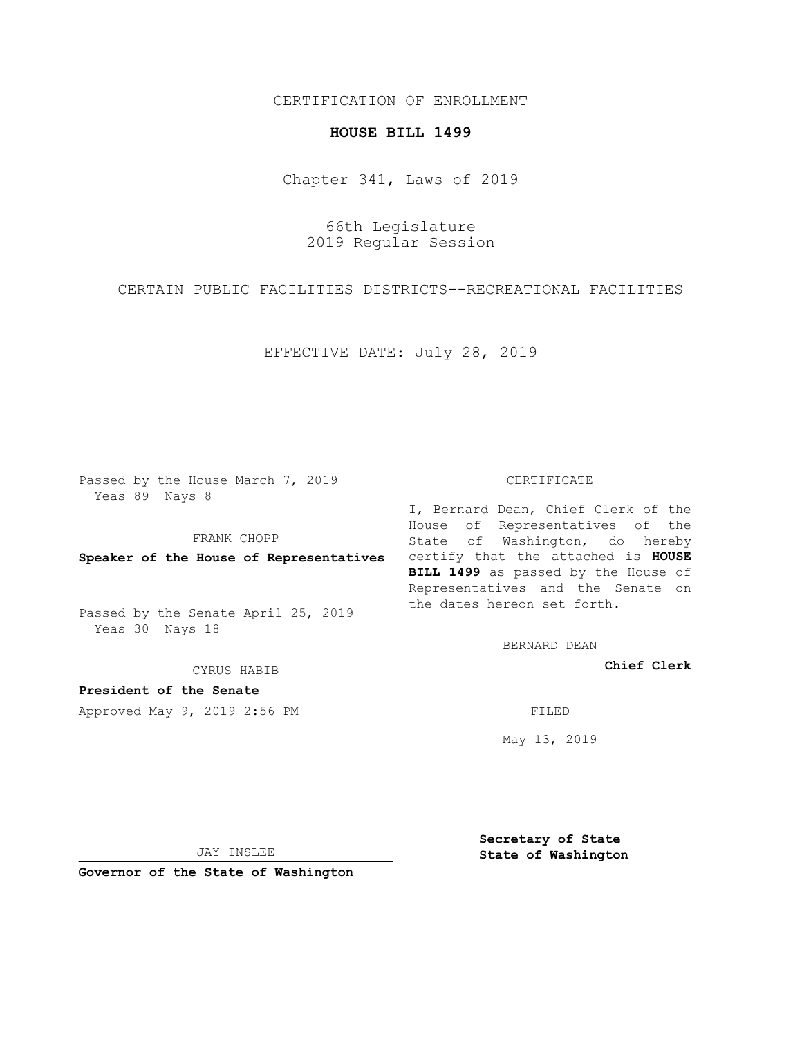## CERTIFICATION OF ENROLLMENT

## **HOUSE BILL 1499**

Chapter 341, Laws of 2019

66th Legislature 2019 Regular Session

CERTAIN PUBLIC FACILITIES DISTRICTS--RECREATIONAL FACILITIES

EFFECTIVE DATE: July 28, 2019

Passed by the House March 7, 2019 Yeas 89 Nays 8

FRANK CHOPP

Passed by the Senate April 25, 2019 Yeas 30 Nays 18

CYRUS HABIB

**President of the Senate**

Approved May 9, 2019 2:56 PM FILED

## CERTIFICATE

**Speaker of the House of Representatives** certify that the attached is **HOUSE** I, Bernard Dean, Chief Clerk of the House of Representatives of the State of Washington, do hereby **BILL 1499** as passed by the House of Representatives and the Senate on the dates hereon set forth.

BERNARD DEAN

**Chief Clerk**

May 13, 2019

JAY INSLEE

**Governor of the State of Washington**

**Secretary of State State of Washington**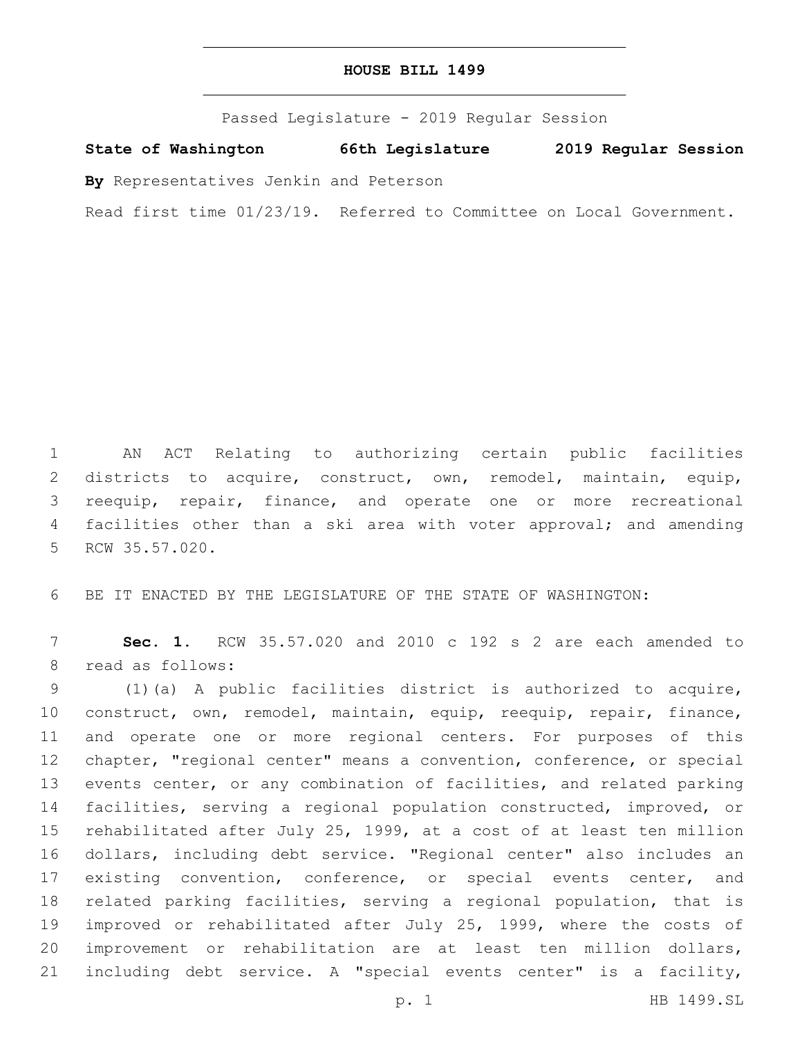Passed Legislature - 2019 Regular Session

**State of Washington 66th Legislature 2019 Regular Session**

**By** Representatives Jenkin and Peterson

Read first time 01/23/19. Referred to Committee on Local Government.

 AN ACT Relating to authorizing certain public facilities districts to acquire, construct, own, remodel, maintain, equip, reequip, repair, finance, and operate one or more recreational 4 facilities other than a ski area with voter approval; and amending 5 RCW 35.57.020.

BE IT ENACTED BY THE LEGISLATURE OF THE STATE OF WASHINGTON:

 **Sec. 1.** RCW 35.57.020 and 2010 c 192 s 2 are each amended to 8 read as follows:

 (1)(a) A public facilities district is authorized to acquire, construct, own, remodel, maintain, equip, reequip, repair, finance, and operate one or more regional centers. For purposes of this chapter, "regional center" means a convention, conference, or special events center, or any combination of facilities, and related parking facilities, serving a regional population constructed, improved, or rehabilitated after July 25, 1999, at a cost of at least ten million dollars, including debt service. "Regional center" also includes an existing convention, conference, or special events center, and related parking facilities, serving a regional population, that is 19 improved or rehabilitated after July 25, 1999, where the costs of improvement or rehabilitation are at least ten million dollars, including debt service. A "special events center" is a facility,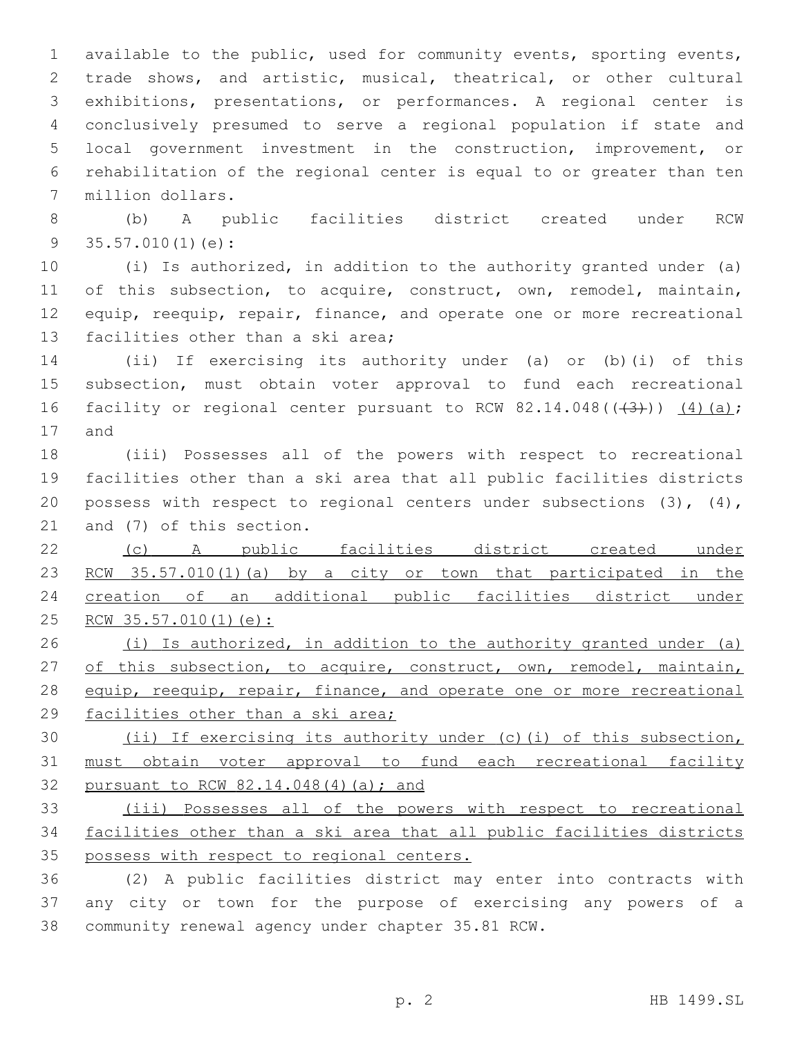available to the public, used for community events, sporting events, trade shows, and artistic, musical, theatrical, or other cultural exhibitions, presentations, or performances. A regional center is conclusively presumed to serve a regional population if state and local government investment in the construction, improvement, or rehabilitation of the regional center is equal to or greater than ten 7 million dollars.

 (b) A public facilities district created under RCW 35.57.010(1)(e):

 (i) Is authorized, in addition to the authority granted under (a) 11 of this subsection, to acquire, construct, own, remodel, maintain, 12 equip, reequip, repair, finance, and operate one or more recreational 13 facilities other than a ski area;

 (ii) If exercising its authority under (a) or (b)(i) of this subsection, must obtain voter approval to fund each recreational 16 facility or regional center pursuant to RCW  $82.14.048$  ( $(43)$ ))  $(4)$  (a); 17 and

 (iii) Possesses all of the powers with respect to recreational facilities other than a ski area that all public facilities districts 20 possess with respect to regional centers under subsections  $(3)$ ,  $(4)$ , 21 and (7) of this section.

 (c) A public facilities district created under 23 RCW 35.57.010(1)(a) by a city or town that participated in the creation of an additional public facilities district under 25 RCW 35.57.010(1)(e):

 (i) Is authorized, in addition to the authority granted under (a) 27 of this subsection, to acquire, construct, own, remodel, maintain, 28 equip, reequip, repair, finance, and operate one or more recreational facilities other than a ski area;

30 (ii) If exercising its authority under (c)(i) of this subsection, must obtain voter approval to fund each recreational facility pursuant to RCW 82.14.048(4)(a); and

 (iii) Possesses all of the powers with respect to recreational facilities other than a ski area that all public facilities districts possess with respect to regional centers.

 (2) A public facilities district may enter into contracts with any city or town for the purpose of exercising any powers of a 38 community renewal agency under chapter 35.81 RCW.